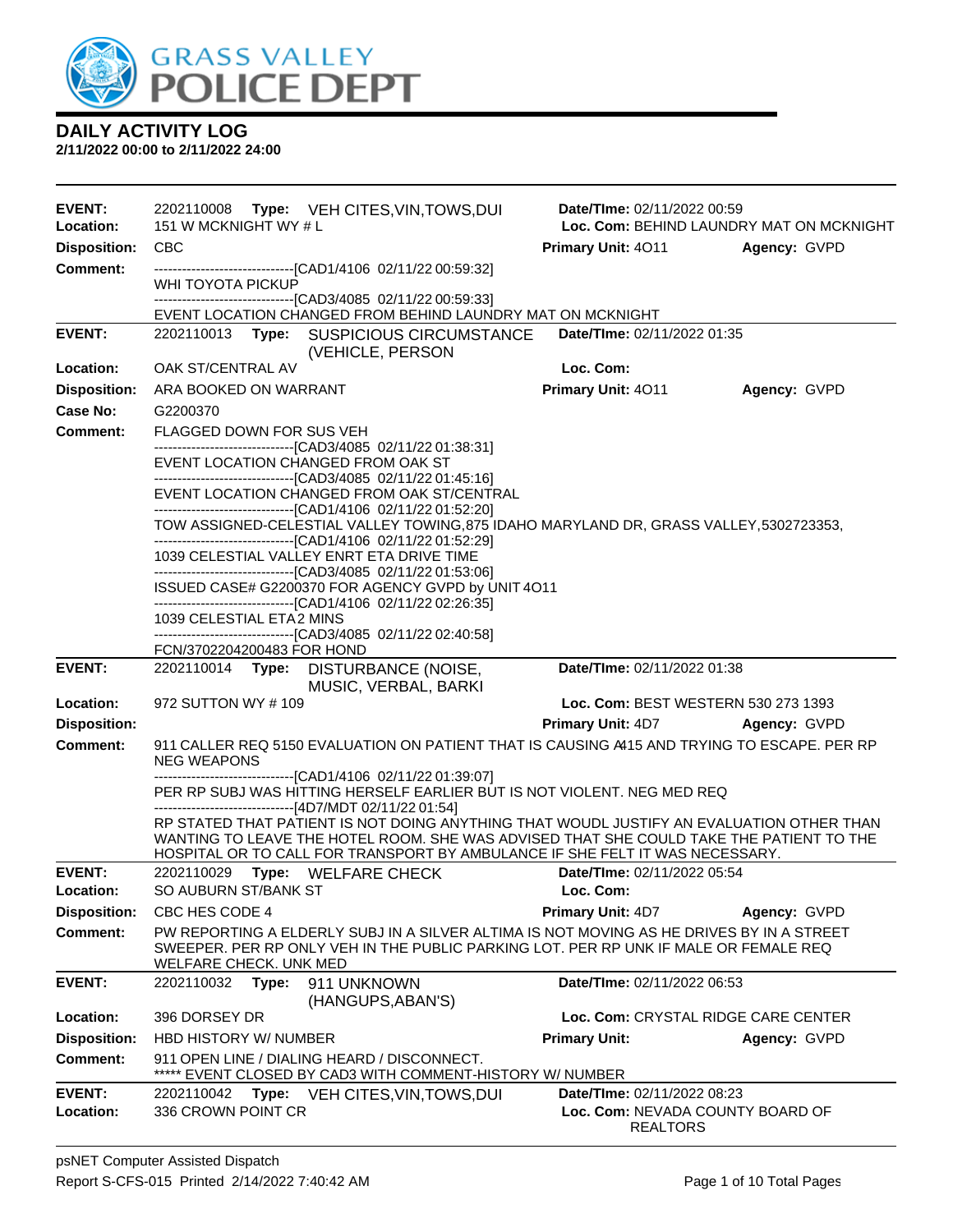

| EVENT:<br>Location:        | 151 W MCKNIGHT WY # L                     | 2202110008 Type: VEH CITES, VIN, TOWS, DUI                                                                                                                                | Date/TIme: 02/11/2022 00:59                                                                                                                                                                                                                                         | Loc. Com: BEHIND LAUNDRY MAT ON MCKNIGHT |
|----------------------------|-------------------------------------------|---------------------------------------------------------------------------------------------------------------------------------------------------------------------------|---------------------------------------------------------------------------------------------------------------------------------------------------------------------------------------------------------------------------------------------------------------------|------------------------------------------|
| <b>Disposition:</b>        | <b>CBC</b>                                |                                                                                                                                                                           | Primary Unit: 4011                                                                                                                                                                                                                                                  | Agency: GVPD                             |
| <b>Comment:</b>            |                                           | -------------------------------[CAD1/4106 02/11/22 00:59:32]                                                                                                              |                                                                                                                                                                                                                                                                     |                                          |
|                            | WHI TOYOTA PICKUP                         |                                                                                                                                                                           |                                                                                                                                                                                                                                                                     |                                          |
|                            |                                           | -------------------------------[CAD3/4085 02/11/22 00:59:33]                                                                                                              |                                                                                                                                                                                                                                                                     |                                          |
| <b>EVENT:</b>              |                                           | EVENT LOCATION CHANGED FROM BEHIND LAUNDRY MAT ON MCKNIGHT<br>2202110013 Type: SUSPICIOUS CIRCUMSTANCE                                                                    | Date/TIme: 02/11/2022 01:35                                                                                                                                                                                                                                         |                                          |
|                            |                                           | (VEHICLE, PERSON                                                                                                                                                          |                                                                                                                                                                                                                                                                     |                                          |
| Location:                  | OAK ST/CENTRAL AV                         |                                                                                                                                                                           | Loc. Com:                                                                                                                                                                                                                                                           |                                          |
| <b>Disposition:</b>        | ARA BOOKED ON WARRANT                     |                                                                                                                                                                           | Primary Unit: 4011                                                                                                                                                                                                                                                  | Agency: GVPD                             |
| Case No:                   | G2200370                                  |                                                                                                                                                                           |                                                                                                                                                                                                                                                                     |                                          |
| <b>Comment:</b>            | FLAGGED DOWN FOR SUS VEH                  |                                                                                                                                                                           |                                                                                                                                                                                                                                                                     |                                          |
|                            |                                           | --------------------------------[CAD3/4085 02/11/22 01:38:31]<br>EVENT LOCATION CHANGED FROM OAK ST<br>-------------------------------[CAD3/4085 02/11/22 01:45:16]       |                                                                                                                                                                                                                                                                     |                                          |
|                            |                                           | EVENT LOCATION CHANGED FROM OAK ST/CENTRAL<br>-------------------------------[CAD1/4106 02/11/22 01:52:20]                                                                |                                                                                                                                                                                                                                                                     |                                          |
|                            |                                           |                                                                                                                                                                           | TOW ASSIGNED-CELESTIAL VALLEY TOWING, 875 IDAHO MARYLAND DR, GRASS VALLEY, 5302723353,                                                                                                                                                                              |                                          |
|                            |                                           | -------------------------------[CAD1/4106 02/11/22 01:52:29]<br>1039 CELESTIAL VALLEY ENRT ETA DRIVE TIME<br>-------------------------------[CAD3/4085 02/11/22 01:53:06] |                                                                                                                                                                                                                                                                     |                                          |
|                            |                                           | ISSUED CASE# G2200370 FOR AGENCY GVPD by UNIT 4O11<br>-------------------------------[CAD1/4106 02/11/22 02:26:35]                                                        |                                                                                                                                                                                                                                                                     |                                          |
|                            | 1039 CELESTIAL ETA2 MINS                  |                                                                                                                                                                           |                                                                                                                                                                                                                                                                     |                                          |
|                            | FCN/3702204200483 FOR HOND                | -------------------------------[CAD3/4085 02/11/22 02:40:58]                                                                                                              |                                                                                                                                                                                                                                                                     |                                          |
|                            |                                           |                                                                                                                                                                           |                                                                                                                                                                                                                                                                     |                                          |
| <b>EVENT:</b>              |                                           | 2202110014 Type: DISTURBANCE (NOISE,                                                                                                                                      | Date/TIme: 02/11/2022 01:38                                                                                                                                                                                                                                         |                                          |
| Location:                  | 972 SUTTON WY #109                        | MUSIC, VERBAL, BARKI                                                                                                                                                      | Loc. Com: BEST WESTERN 530 273 1393                                                                                                                                                                                                                                 |                                          |
| <b>Disposition:</b>        |                                           |                                                                                                                                                                           | <b>Primary Unit: 4D7</b>                                                                                                                                                                                                                                            | Agency: GVPD                             |
| <b>Comment:</b>            | <b>NEG WEAPONS</b>                        |                                                                                                                                                                           | 911 CALLER REQ 5150 EVALUATION ON PATIENT THAT IS CAUSING A415 AND TRYING TO ESCAPE. PER RP                                                                                                                                                                         |                                          |
|                            |                                           | ------------------------------[CAD1/4106 02/11/22 01:39:07]                                                                                                               | PER RP SUBJ WAS HITTING HERSELF EARLIER BUT IS NOT VIOLENT. NEG MED REQ                                                                                                                                                                                             |                                          |
|                            |                                           | -------------------------------[4D7/MDT 02/11/22 01:54]                                                                                                                   | RP STATED THAT PATIENT IS NOT DOING ANYTHING THAT WOUDL JUSTIFY AN EVALUATION OTHER THAN<br>WANTING TO LEAVE THE HOTEL ROOM. SHE WAS ADVISED THAT SHE COULD TAKE THE PATIENT TO THE<br>HOSPITAL OR TO CALL FOR TRANSPORT BY AMBULANCE IF SHE FELT IT WAS NECESSARY. |                                          |
| <b>EVENT:</b><br>Location: | SO AUBURN ST/BANK ST                      | 2202110029 Type: WELFARE CHECK                                                                                                                                            | Date/TIme: 02/11/2022 05:54<br>Loc. Com:                                                                                                                                                                                                                            |                                          |
| <b>Disposition:</b>        | CBC HES CODE 4                            |                                                                                                                                                                           | <b>Primary Unit: 4D7</b>                                                                                                                                                                                                                                            | Agency: GVPD                             |
| <b>Comment:</b>            | WELFARE CHECK. UNK MED                    |                                                                                                                                                                           | PW REPORTING A ELDERLY SUBJ IN A SILVER ALTIMA IS NOT MOVING AS HE DRIVES BY IN A STREET<br>SWEEPER. PER RP ONLY VEH IN THE PUBLIC PARKING LOT. PER RP UNK IF MALE OR FEMALE REQ                                                                                    |                                          |
| <b>EVENT:</b>              | 2202110032<br>Type:                       | 911 UNKNOWN                                                                                                                                                               | Date/TIme: 02/11/2022 06:53                                                                                                                                                                                                                                         |                                          |
| Location:                  | 396 DORSEY DR                             | (HANGUPS, ABAN'S)                                                                                                                                                         |                                                                                                                                                                                                                                                                     | Loc. Com: CRYSTAL RIDGE CARE CENTER      |
| <b>Disposition:</b>        | HBD HISTORY W/ NUMBER                     |                                                                                                                                                                           | <b>Primary Unit:</b>                                                                                                                                                                                                                                                | Agency: GVPD                             |
| <b>Comment:</b>            |                                           | 911 OPEN LINE / DIALING HEARD / DISCONNECT.<br>***** EVENT CLOSED BY CAD3 WITH COMMENT-HISTORY W/ NUMBER                                                                  |                                                                                                                                                                                                                                                                     |                                          |
| <b>EVENT:</b><br>Location: | 2202110042<br>Type:<br>336 CROWN POINT CR | VEH CITES,VIN,TOWS,DUI                                                                                                                                                    | Date/TIme: 02/11/2022 08:23<br>Loc. Com: NEVADA COUNTY BOARD OF                                                                                                                                                                                                     |                                          |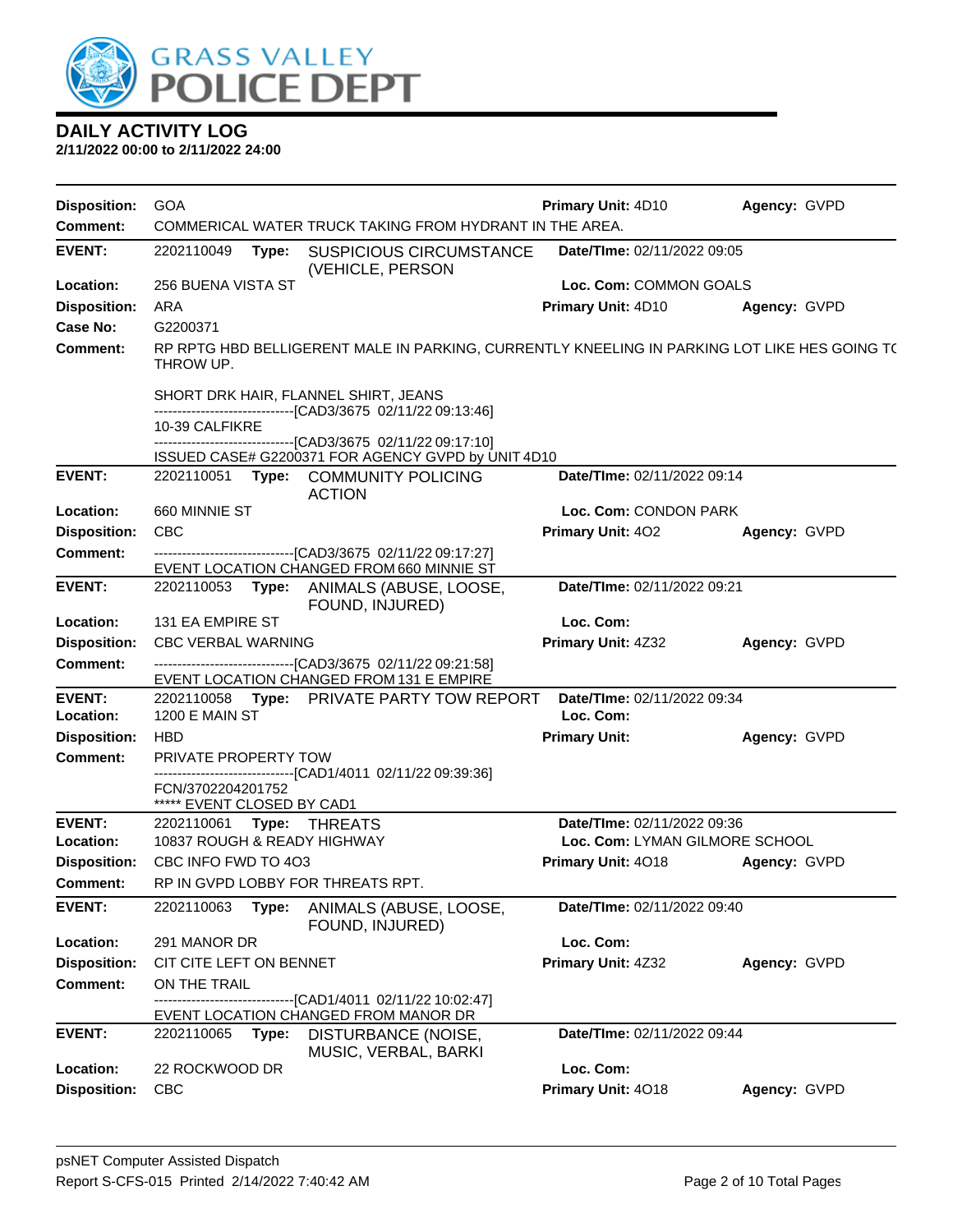

| <b>Disposition:</b> | <b>GOA</b>                                                                                                | <b>Primary Unit: 4D10</b>      | Agency: GVPD |
|---------------------|-----------------------------------------------------------------------------------------------------------|--------------------------------|--------------|
| <b>Comment:</b>     | COMMERICAL WATER TRUCK TAKING FROM HYDRANT IN THE AREA.                                                   |                                |              |
| <b>EVENT:</b>       | 2202110049<br>Type:<br><b>SUSPICIOUS CIRCUMSTANCE</b><br>(VEHICLE, PERSON                                 | Date/TIme: 02/11/2022 09:05    |              |
| Location:           | 256 BUENA VISTA ST                                                                                        | Loc. Com: COMMON GOALS         |              |
| <b>Disposition:</b> | <b>ARA</b>                                                                                                | Primary Unit: 4D10             | Agency: GVPD |
| <b>Case No:</b>     | G2200371                                                                                                  |                                |              |
| Comment:            | RP RPTG HBD BELLIGERENT MALE IN PARKING, CURRENTLY KNEELING IN PARKING LOT LIKE HES GOING T(<br>THROW UP. |                                |              |
|                     | SHORT DRK HAIR, FLANNEL SHIRT, JEANS                                                                      |                                |              |
|                     | -------------------------------[CAD3/3675_02/11/22 09:13:46]<br>10-39 CALFIKRE                            |                                |              |
|                     | ------------------------------[CAD3/3675_02/11/22 09:17:10]                                               |                                |              |
|                     | ISSUED CASE# G2200371 FOR AGENCY GVPD by UNIT 4D10                                                        |                                |              |
| <b>EVENT:</b>       | 2202110051 Type: COMMUNITY POLICING<br><b>ACTION</b>                                                      | Date/TIme: 02/11/2022 09:14    |              |
| Location:           | 660 MINNIE ST                                                                                             | Loc. Com: CONDON PARK          |              |
| <b>Disposition:</b> | <b>CBC</b>                                                                                                | Primary Unit: 402              | Agency: GVPD |
| <b>Comment:</b>     | ------------------------------[CAD3/3675 02/11/22 09:17:27]                                               |                                |              |
|                     | EVENT LOCATION CHANGED FROM 660 MINNIE ST                                                                 |                                |              |
| <b>EVENT:</b>       | 2202110053 Type: ANIMALS (ABUSE, LOOSE,<br>FOUND, INJURED)                                                | Date/TIme: 02/11/2022 09:21    |              |
| Location:           | 131 EA EMPIRE ST                                                                                          | Loc. Com:                      |              |
| <b>Disposition:</b> | <b>CBC VERBAL WARNING</b>                                                                                 | Primary Unit: 4Z32             | Agency: GVPD |
| <b>Comment:</b>     | -------------------------------[CAD3/3675_02/11/22 09:21:58]<br>EVENT LOCATION CHANGED FROM 131 E EMPIRE  |                                |              |
| <b>EVENT:</b>       | 2202110058 Type: PRIVATE PARTY TOW REPORT                                                                 | Date/TIme: 02/11/2022 09:34    |              |
| Location:           | 1200 E MAIN ST                                                                                            | Loc. Com:                      |              |
| <b>Disposition:</b> | <b>HBD</b>                                                                                                | <b>Primary Unit:</b>           | Agency: GVPD |
| <b>Comment:</b>     | PRIVATE PROPERTY TOW<br>------------------------[CAD1/4011_02/11/22 09:39:36]                             |                                |              |
|                     | FCN/3702204201752<br>***** EVENT CLOSED BY CAD1                                                           |                                |              |
| <b>EVENT:</b>       | 2202110061    Type: THREATS                                                                               | Date/TIme: 02/11/2022 09:36    |              |
| Location:           | 10837 ROUGH & READY HIGHWAY                                                                               | Loc. Com: LYMAN GILMORE SCHOOL |              |
| <b>Disposition:</b> | CBC INFO FWD TO 4O3                                                                                       | Primary Unit: 4018             | Agency: GVPD |
| <b>Comment:</b>     | RP IN GVPD LOBBY FOR THREATS RPT.                                                                         |                                |              |
| <b>EVENT:</b>       | 2202110063<br>ANIMALS (ABUSE, LOOSE,<br>Type:<br>FOUND, INJURED)                                          | Date/TIme: 02/11/2022 09:40    |              |
| Location:           | 291 MANOR DR                                                                                              | Loc. Com:                      |              |
| <b>Disposition:</b> | CIT CITE LEFT ON BENNET                                                                                   | Primary Unit: 4Z32             | Agency: GVPD |
| <b>Comment:</b>     | ON THE TRAIL                                                                                              |                                |              |
|                     | -------------------------------[CAD1/4011 02/11/22 10:02:47]                                              |                                |              |
|                     | EVENT LOCATION CHANGED FROM MANOR DR                                                                      |                                |              |
| <b>EVENT:</b>       | Type:<br>DISTURBANCE (NOISE,<br>2202110065<br>MUSIC, VERBAL, BARKI                                        | Date/TIme: 02/11/2022 09:44    |              |
| Location:           | 22 ROCKWOOD DR                                                                                            | Loc. Com:                      |              |
| <b>Disposition:</b> | <b>CBC</b>                                                                                                | Primary Unit: 4018             | Agency: GVPD |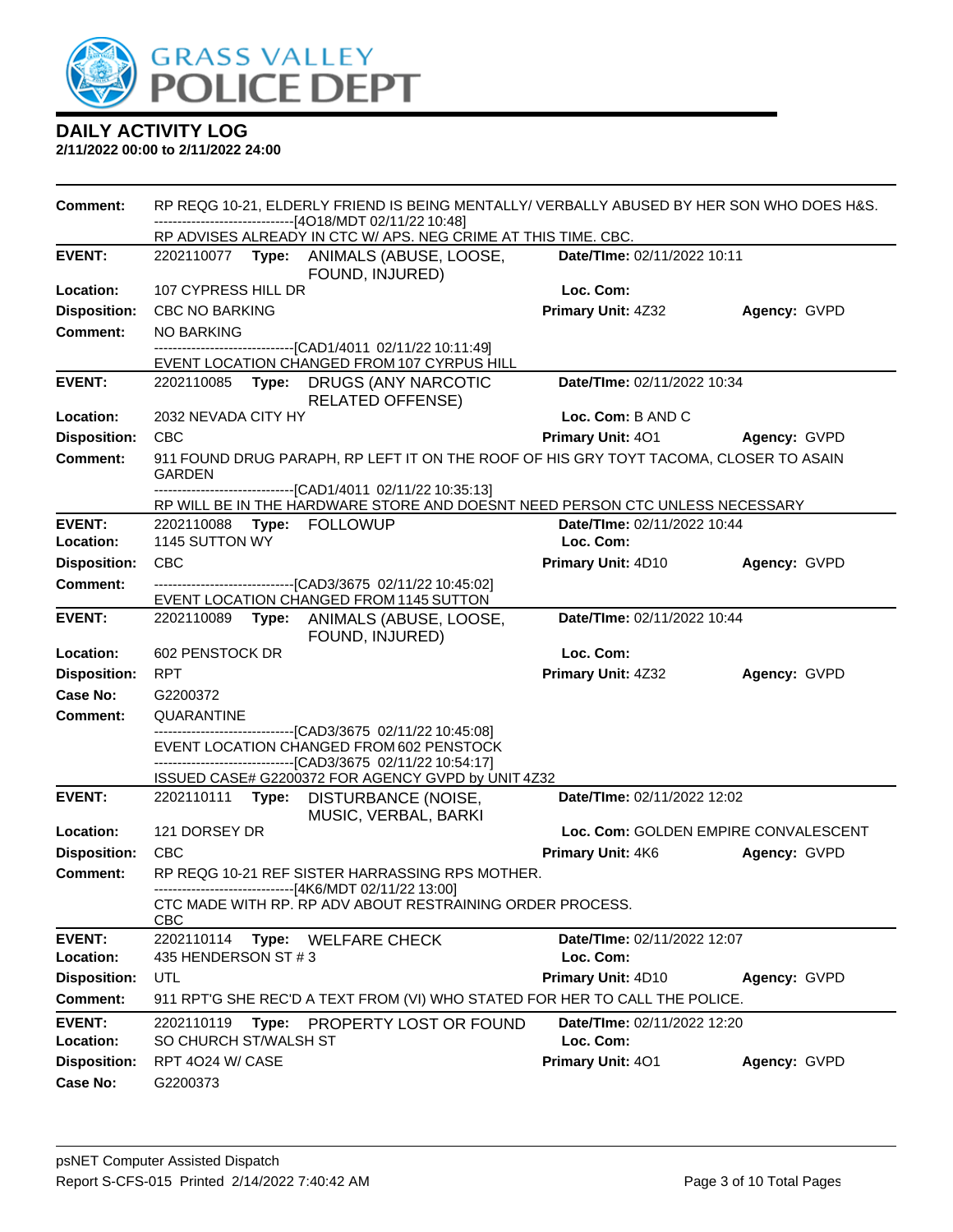

| <b>Comment:</b>            |                                     |       | RP REQG 10-21, ELDERLY FRIEND IS BEING MENTALLY/ VERBALLY ABUSED BY HER SON WHO DOES H&S.<br>------------------------------[4O18/MDT 02/11/22 10:48] |                                          |              |
|----------------------------|-------------------------------------|-------|------------------------------------------------------------------------------------------------------------------------------------------------------|------------------------------------------|--------------|
|                            |                                     |       | RP ADVISES ALREADY IN CTC W/ APS. NEG CRIME AT THIS TIME. CBC.                                                                                       |                                          |              |
| <b>EVENT:</b>              |                                     |       | 2202110077 Type: ANIMALS (ABUSE, LOOSE,<br>FOUND, INJURED)                                                                                           | Date/TIme: 02/11/2022 10:11              |              |
| Location:                  | 107 CYPRESS HILL DR                 |       |                                                                                                                                                      | Loc. Com:                                |              |
| <b>Disposition:</b>        | <b>CBC NO BARKING</b>               |       |                                                                                                                                                      | Primary Unit: 4Z32                       | Agency: GVPD |
| <b>Comment:</b>            | <b>NO BARKING</b>                   |       |                                                                                                                                                      |                                          |              |
|                            |                                     |       | -------------------------------[CAD1/4011_02/11/22 10:11:49]                                                                                         |                                          |              |
|                            |                                     |       | EVENT LOCATION CHANGED FROM 107 CYRPUS HILL                                                                                                          |                                          |              |
| <b>EVENT:</b>              |                                     |       | 2202110085 Type: DRUGS (ANY NARCOTIC<br><b>RELATED OFFENSE)</b>                                                                                      | Date/TIme: 02/11/2022 10:34              |              |
| Location:                  | 2032 NEVADA CITY HY                 |       |                                                                                                                                                      | Loc. Com: B AND C                        |              |
| <b>Disposition:</b>        | <b>CBC</b>                          |       |                                                                                                                                                      | <b>Primary Unit: 401</b>                 | Agency: GVPD |
| <b>Comment:</b>            | <b>GARDEN</b>                       |       | 911 FOUND DRUG PARAPH, RP LEFT IT ON THE ROOF OF HIS GRY TOYT TACOMA, CLOSER TO ASAIN                                                                |                                          |              |
|                            |                                     |       | -------------------------------[CAD1/4011 02/11/22 10:35:13]<br>RP WILL BE IN THE HARDWARE STORE AND DOESNT NEED PERSON CTC UNLESS NECESSARY         |                                          |              |
| <b>EVENT:</b>              | 2202110088 Type: FOLLOWUP           |       |                                                                                                                                                      | Date/TIme: 02/11/2022 10:44              |              |
| Location:                  | 1145 SUTTON WY                      |       |                                                                                                                                                      | Loc. Com:                                |              |
| <b>Disposition:</b>        | <b>CBC</b>                          |       |                                                                                                                                                      | Primary Unit: 4D10                       | Agency: GVPD |
| Comment:                   |                                     |       | ---------------------------------[CAD3/3675 02/11/22 10:45:02]                                                                                       |                                          |              |
|                            |                                     |       | EVENT LOCATION CHANGED FROM 1145 SUTTON                                                                                                              |                                          |              |
| <b>EVENT:</b>              |                                     |       | 2202110089 Type: ANIMALS (ABUSE, LOOSE,<br>FOUND, INJURED)                                                                                           | Date/TIme: 02/11/2022 10:44              |              |
| Location:                  | 602 PENSTOCK DR                     |       |                                                                                                                                                      | Loc. Com:                                |              |
| <b>Disposition:</b>        | <b>RPT</b>                          |       |                                                                                                                                                      | Primary Unit: 4Z32                       | Agency: GVPD |
| Case No:                   | G2200372                            |       |                                                                                                                                                      |                                          |              |
| <b>Comment:</b>            | QUARANTINE                          |       |                                                                                                                                                      |                                          |              |
|                            |                                     |       | -------------------------[CAD3/3675 02/11/22 10:45:08]<br>EVENT LOCATION CHANGED FROM 602 PENSTOCK                                                   |                                          |              |
|                            |                                     |       | --------------------[CAD3/3675 02/11/22 10:54:17]                                                                                                    |                                          |              |
|                            |                                     |       | ISSUED CASE# G2200372 FOR AGENCY GVPD by UNIT 4Z32                                                                                                   |                                          |              |
| <b>EVENT:</b>              |                                     |       | 2202110111 Type: DISTURBANCE (NOISE,<br>MUSIC, VERBAL, BARKI                                                                                         | Date/TIme: 02/11/2022 12:02              |              |
| Location:                  | 121 DORSEY DR                       |       |                                                                                                                                                      | Loc. Com: GOLDEN EMPIRE CONVALESCENT     |              |
| <b>Disposition:</b>        | <b>CBC</b>                          |       |                                                                                                                                                      | Primary Unit: 4K6                        | Agency: GVPD |
| Comment:                   |                                     |       | RP REQG 10-21 REF SISTER HARRASSING RPS MOTHER.<br>------------------------------[4K6/MDT 02/11/22 13:00]                                            |                                          |              |
|                            | <b>CBC</b>                          |       | CTC MADE WITH RP. RP ADV ABOUT RESTRAINING ORDER PROCESS.                                                                                            |                                          |              |
| <b>EVENT:</b>              | 2202110114                          |       | Type: WELFARE CHECK                                                                                                                                  | Date/TIme: 02/11/2022 12:07              |              |
| Location:                  | 435 HENDERSON ST #3                 |       |                                                                                                                                                      | Loc. Com:                                |              |
| <b>Disposition:</b>        | UTL                                 |       |                                                                                                                                                      | Primary Unit: 4D10                       | Agency: GVPD |
| <b>Comment:</b>            |                                     |       | 911 RPT'G SHE REC'D A TEXT FROM (VI) WHO STATED FOR HER TO CALL THE POLICE.                                                                          |                                          |              |
| <b>EVENT:</b><br>Location: | 2202110119<br>SO CHURCH ST/WALSH ST | Type: | PROPERTY LOST OR FOUND                                                                                                                               | Date/TIme: 02/11/2022 12:20<br>Loc. Com: |              |
| <b>Disposition:</b>        | RPT 4024 W/ CASE                    |       |                                                                                                                                                      | Primary Unit: 401                        | Agency: GVPD |
| Case No:                   |                                     |       |                                                                                                                                                      |                                          |              |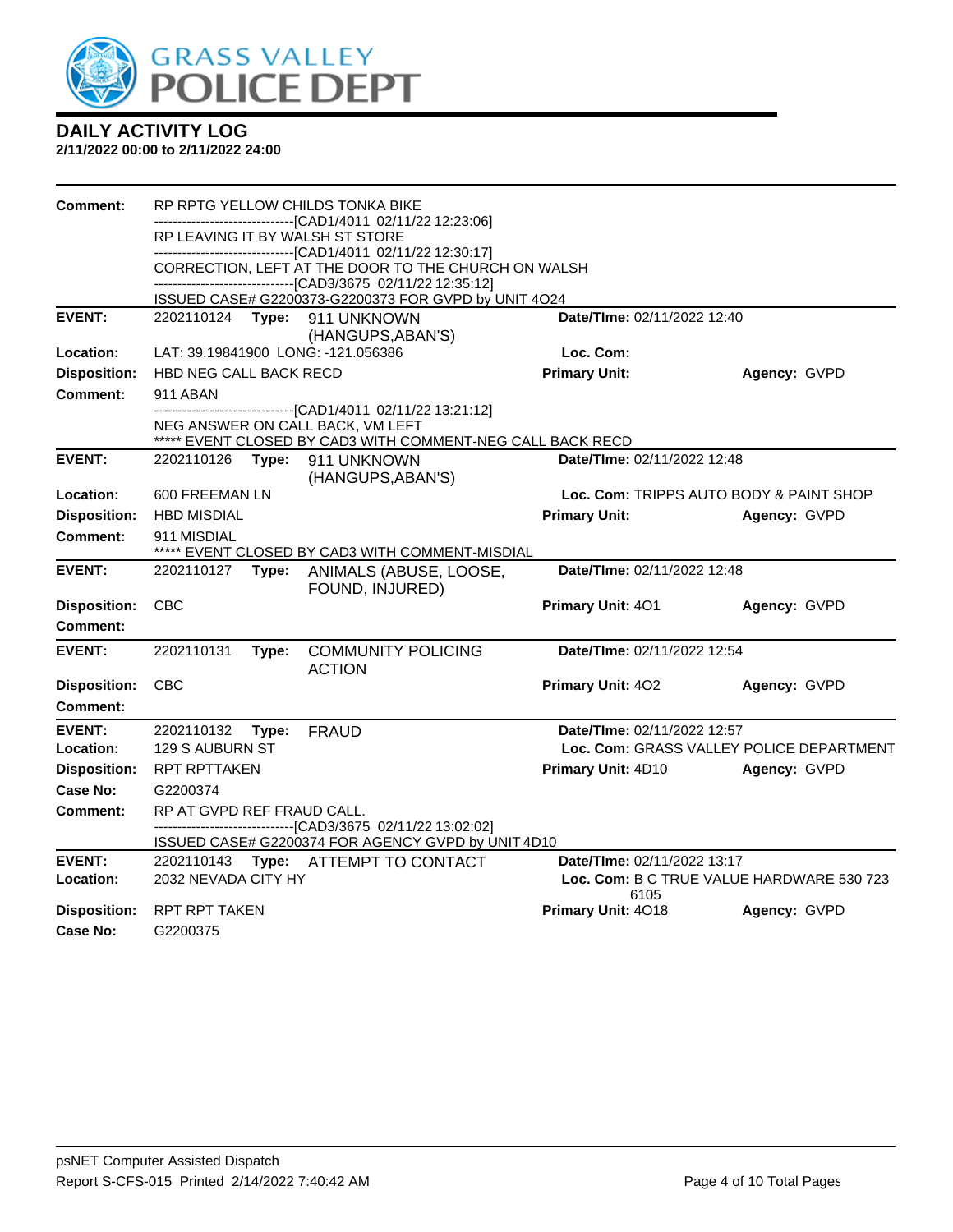

| <b>Comment:</b>     |                            |       | RP RPTG YELLOW CHILDS TONKA BIKE                                                                                    |                             |                                           |
|---------------------|----------------------------|-------|---------------------------------------------------------------------------------------------------------------------|-----------------------------|-------------------------------------------|
|                     |                            |       | -------------------------[CAD1/4011_02/11/22 12:23:06]<br>RP LEAVING IT BY WALSH ST STORE                           |                             |                                           |
|                     |                            |       | ------------------------------[CAD1/4011 02/11/22 12:30:17]                                                         |                             |                                           |
|                     |                            |       | CORRECTION, LEFT AT THE DOOR TO THE CHURCH ON WALSH<br>-------------------------------[CAD3/3675 02/11/22 12:35:12] |                             |                                           |
|                     |                            |       | ISSUED CASE# G2200373-G2200373 FOR GVPD by UNIT 4O24                                                                |                             |                                           |
| <b>EVENT:</b>       |                            |       | 2202110124 Type: 911 UNKNOWN                                                                                        | Date/TIme: 02/11/2022 12:40 |                                           |
| Location:           |                            |       | (HANGUPS, ABAN'S)<br>LAT: 39.19841900 LONG: -121.056386                                                             | Loc. Com:                   |                                           |
| <b>Disposition:</b> | HBD NEG CALL BACK RECD     |       |                                                                                                                     | <b>Primary Unit:</b>        | Agency: GVPD                              |
| <b>Comment:</b>     | 911 ABAN                   |       |                                                                                                                     |                             |                                           |
|                     |                            |       | -------------------------------[CAD1/4011_02/11/22 13:21:12]<br>NEG ANSWER ON CALL BACK, VM LEFT                    |                             |                                           |
| <b>EVENT:</b>       | 2202110126                 | Type: | ***** EVENT CLOSED BY CAD3 WITH COMMENT-NEG CALL BACK RECD<br>911 UNKNOWN                                           | Date/TIme: 02/11/2022 12:48 |                                           |
|                     |                            |       | (HANGUPS, ABAN'S)                                                                                                   |                             |                                           |
| Location:           | 600 FREEMAN LN             |       |                                                                                                                     |                             | Loc. Com: TRIPPS AUTO BODY & PAINT SHOP   |
| <b>Disposition:</b> | <b>HBD MISDIAL</b>         |       |                                                                                                                     | <b>Primary Unit:</b>        | Agency: GVPD                              |
| Comment:            | 911 MISDIAL                |       | ***** EVENT CLOSED BY CAD3 WITH COMMENT-MISDIAL                                                                     |                             |                                           |
| <b>EVENT:</b>       | 2202110127                 |       | Type: ANIMALS (ABUSE, LOOSE,<br>FOUND, INJURED)                                                                     | Date/TIme: 02/11/2022 12:48 |                                           |
| <b>Disposition:</b> | CBC                        |       |                                                                                                                     | Primary Unit: 401           | Agency: GVPD                              |
| Comment:            |                            |       |                                                                                                                     |                             |                                           |
| <b>EVENT:</b>       | 2202110131                 | Type: | <b>COMMUNITY POLICING</b><br><b>ACTION</b>                                                                          | Date/TIme: 02/11/2022 12:54 |                                           |
| <b>Disposition:</b> | <b>CBC</b>                 |       |                                                                                                                     | Primary Unit: 402           | Agency: GVPD                              |
| Comment:            |                            |       |                                                                                                                     |                             |                                           |
| <b>EVENT:</b>       | 2202110132                 | Type: | <b>FRAUD</b>                                                                                                        | Date/TIme: 02/11/2022 12:57 |                                           |
| Location:           | 129 S AUBURN ST            |       |                                                                                                                     |                             | Loc. Com: GRASS VALLEY POLICE DEPARTMENT  |
| <b>Disposition:</b> | <b>RPT RPTTAKEN</b>        |       |                                                                                                                     | Primary Unit: 4D10          | Agency: GVPD                              |
| Case No:            | G2200374                   |       |                                                                                                                     |                             |                                           |
| Comment:            | RP AT GVPD REF FRAUD CALL. |       | -------------------------------[CAD3/3675 02/11/22 13:02:02]<br>ISSUED CASE# G2200374 FOR AGENCY GVPD by UNIT 4D10  |                             |                                           |
| <b>EVENT:</b>       |                            |       | 2202110143 Type: ATTEMPT TO CONTACT                                                                                 | Date/TIme: 02/11/2022 13:17 |                                           |
| Location:           | 2032 NEVADA CITY HY        |       |                                                                                                                     | 6105                        | Loc. Com: B C TRUE VALUE HARDWARE 530 723 |
| <b>Disposition:</b> | RPT RPT TAKEN              |       |                                                                                                                     | Primary Unit: 4018          | Agency: GVPD                              |
| Case No:            | G2200375                   |       |                                                                                                                     |                             |                                           |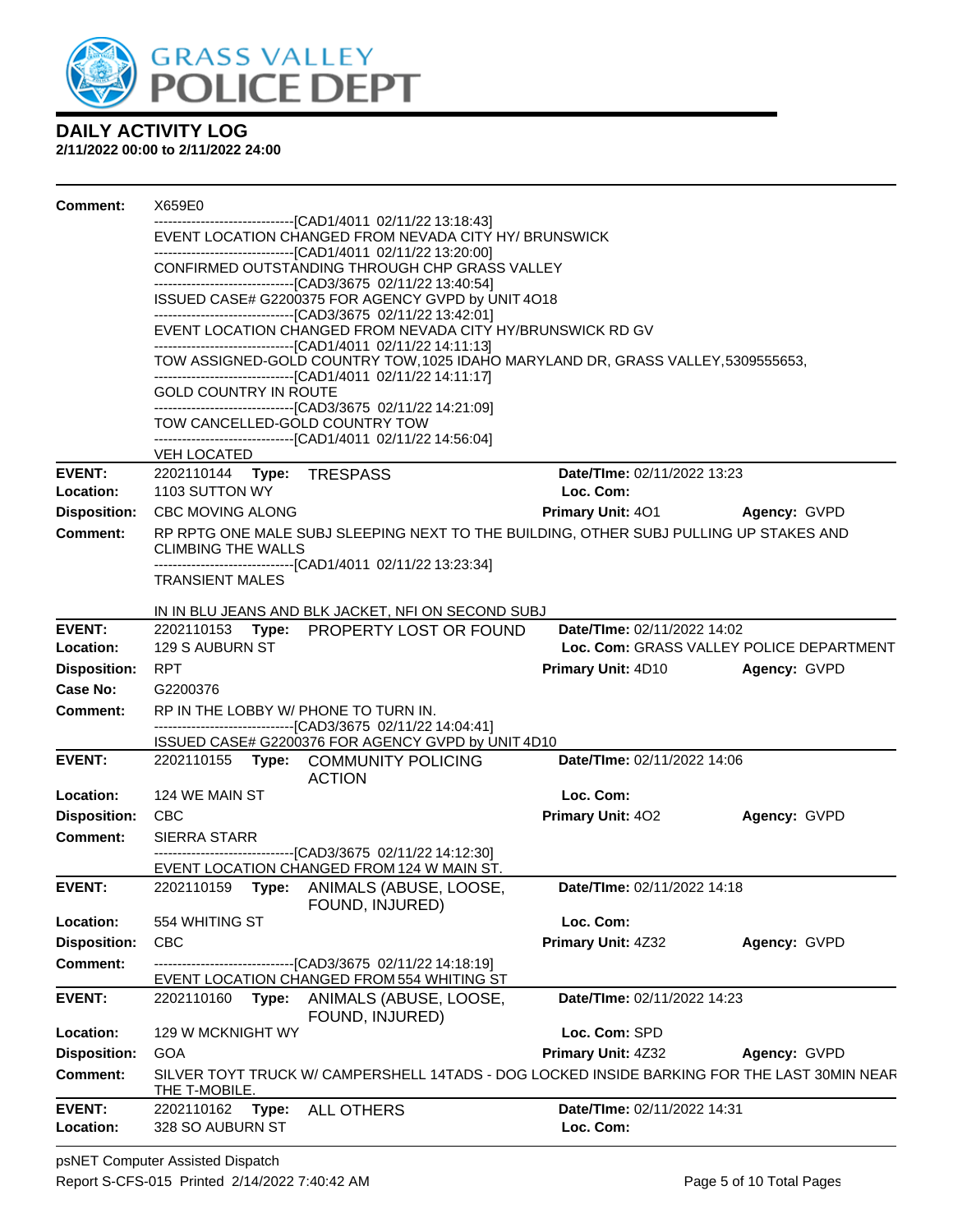

| Comment:            | X659E0                                                                                                                                                                         |                                                                                                                                                   |                                       |                                          |  |  |
|---------------------|--------------------------------------------------------------------------------------------------------------------------------------------------------------------------------|---------------------------------------------------------------------------------------------------------------------------------------------------|---------------------------------------|------------------------------------------|--|--|
|                     |                                                                                                                                                                                | --------------------------------[CAD1/4011 02/11/22 13:18:43]<br>EVENT LOCATION CHANGED FROM NEVADA CITY HY/ BRUNSWICK                            |                                       |                                          |  |  |
|                     | --------------------------------[CAD1/4011 02/11/22 13:20:00]<br>CONFIRMED OUTSTANDING THROUGH CHP GRASS VALLEY<br>------------------------------[CAD3/3675 02/11/22 13:40:54] |                                                                                                                                                   |                                       |                                          |  |  |
|                     |                                                                                                                                                                                | ISSUED CASE# G2200375 FOR AGENCY GVPD by UNIT 4O18                                                                                                |                                       |                                          |  |  |
|                     |                                                                                                                                                                                | --------------------------------[CAD3/3675 02/11/22 13:42:01]<br>EVENT LOCATION CHANGED FROM NEVADA CITY HY/BRUNSWICK RD GV                       |                                       |                                          |  |  |
|                     |                                                                                                                                                                                | --------------------------------[CAD1/4011 02/11/22 14:11:13]<br>TOW ASSIGNED-GOLD COUNTRY TOW, 1025 IDAHO MARYLAND DR, GRASS VALLEY, 5309555653, |                                       |                                          |  |  |
|                     | GOLD COUNTRY IN ROUTE                                                                                                                                                          | -------------------------------[CAD1/4011_02/11/22 14:11:17]                                                                                      |                                       |                                          |  |  |
|                     | TOW CANCELLED-GOLD COUNTRY TOW                                                                                                                                                 | ------------------------------[CAD3/3675 02/11/22 14:21:09]                                                                                       |                                       |                                          |  |  |
|                     | VEH LOCATED                                                                                                                                                                    | ------------------------------[CAD1/4011 02/11/22 14:56:04]                                                                                       |                                       |                                          |  |  |
| <b>EVENT:</b>       | 2202110144 Type: TRESPASS                                                                                                                                                      |                                                                                                                                                   | Date/TIme: 02/11/2022 13:23           |                                          |  |  |
| Location:           | 1103 SUTTON WY                                                                                                                                                                 |                                                                                                                                                   | Loc. Com:                             |                                          |  |  |
| <b>Disposition:</b> | <b>CBC MOVING ALONG</b>                                                                                                                                                        |                                                                                                                                                   | <b>Primary Unit: 401 Agency: GVPD</b> |                                          |  |  |
| Comment:            | <b>CLIMBING THE WALLS</b>                                                                                                                                                      | RP RPTG ONE MALE SUBJ SLEEPING NEXT TO THE BUILDING, OTHER SUBJ PULLING UP STAKES AND                                                             |                                       |                                          |  |  |
|                     | <b>TRANSIENT MALES</b>                                                                                                                                                         | --------------------------------[CAD1/4011_02/11/22 13:23:34]                                                                                     |                                       |                                          |  |  |
|                     |                                                                                                                                                                                |                                                                                                                                                   |                                       |                                          |  |  |
| <b>EVENT:</b>       |                                                                                                                                                                                | IN IN BLU JEANS AND BLK JACKET, NFI ON SECOND SUBJ<br>2202110153 Type: PROPERTY LOST OR FOUND                                                     | Date/TIme: 02/11/2022 14:02           |                                          |  |  |
| Location:           | 129 S AUBURN ST                                                                                                                                                                |                                                                                                                                                   |                                       | Loc. Com: GRASS VALLEY POLICE DEPARTMENT |  |  |
| <b>Disposition:</b> | <b>RPT</b>                                                                                                                                                                     |                                                                                                                                                   | <b>Primary Unit: 4D10</b>             | Agency: GVPD                             |  |  |
| Case No:            | G2200376                                                                                                                                                                       |                                                                                                                                                   |                                       |                                          |  |  |
| <b>Comment:</b>     | RP IN THE LOBBY W/ PHONE TO TURN IN.                                                                                                                                           |                                                                                                                                                   |                                       |                                          |  |  |
|                     |                                                                                                                                                                                | -------------------------------[CAD3/3675_02/11/22 14:04:41]<br>ISSUED CASE# G2200376 FOR AGENCY GVPD by UNIT 4D10                                |                                       |                                          |  |  |
| <b>EVENT:</b>       |                                                                                                                                                                                | 2202110155 Type: COMMUNITY POLICING<br><b>ACTION</b>                                                                                              | Date/TIme: 02/11/2022 14:06           |                                          |  |  |
| Location:           | 124 WE MAIN ST                                                                                                                                                                 |                                                                                                                                                   | Loc. Com:                             |                                          |  |  |
| <b>Disposition:</b> | <b>CBC</b>                                                                                                                                                                     |                                                                                                                                                   | <b>Primary Unit: 402</b>              | Agency: GVPD                             |  |  |
| <b>Comment:</b>     | <b>SIERRA STARR</b>                                                                                                                                                            |                                                                                                                                                   |                                       |                                          |  |  |
|                     |                                                                                                                                                                                | -------------------------------[CAD3/3675 02/11/22 14:12:30]<br>EVENT LOCATION CHANGED FROM 124 W MAIN ST.                                        |                                       |                                          |  |  |
| <b>EVENT:</b>       | 2202110159                                                                                                                                                                     | Type: ANIMALS (ABUSE, LOOSE,<br>FOUND, INJURED)                                                                                                   | <b>Date/Time: 02/11/2022 14:18</b>    |                                          |  |  |
| Location:           | 554 WHITING ST                                                                                                                                                                 |                                                                                                                                                   | Loc. Com:                             |                                          |  |  |
| <b>Disposition:</b> | <b>CBC</b>                                                                                                                                                                     |                                                                                                                                                   | Primary Unit: 4Z32                    | Agency: GVPD                             |  |  |
| <b>Comment:</b>     |                                                                                                                                                                                | ------------------------[CAD3/3675_02/11/22 14:18:19]<br>EVENT LOCATION CHANGED FROM 554 WHITING ST                                               |                                       |                                          |  |  |
| <b>EVENT:</b>       | 2202110160                                                                                                                                                                     | Type: ANIMALS (ABUSE, LOOSE,<br>FOUND, INJURED)                                                                                                   | Date/TIme: 02/11/2022 14:23           |                                          |  |  |
| Location:           | 129 W MCKNIGHT WY                                                                                                                                                              |                                                                                                                                                   | Loc. Com: SPD                         |                                          |  |  |
| <b>Disposition:</b> | GOA                                                                                                                                                                            |                                                                                                                                                   | Primary Unit: 4Z32                    | Agency: GVPD                             |  |  |
| <b>Comment:</b>     | THE T-MOBILE.                                                                                                                                                                  | SILVER TOYT TRUCK W/ CAMPERSHELL 14TADS - DOG LOCKED INSIDE BARKING FOR THE LAST 30MIN NEAR                                                       |                                       |                                          |  |  |
| <b>EVENT:</b>       | 2202110162<br>Type:                                                                                                                                                            | ALL OTHERS                                                                                                                                        | Date/TIme: 02/11/2022 14:31           |                                          |  |  |
| Location:           | 328 SO AUBURN ST                                                                                                                                                               |                                                                                                                                                   | Loc. Com:                             |                                          |  |  |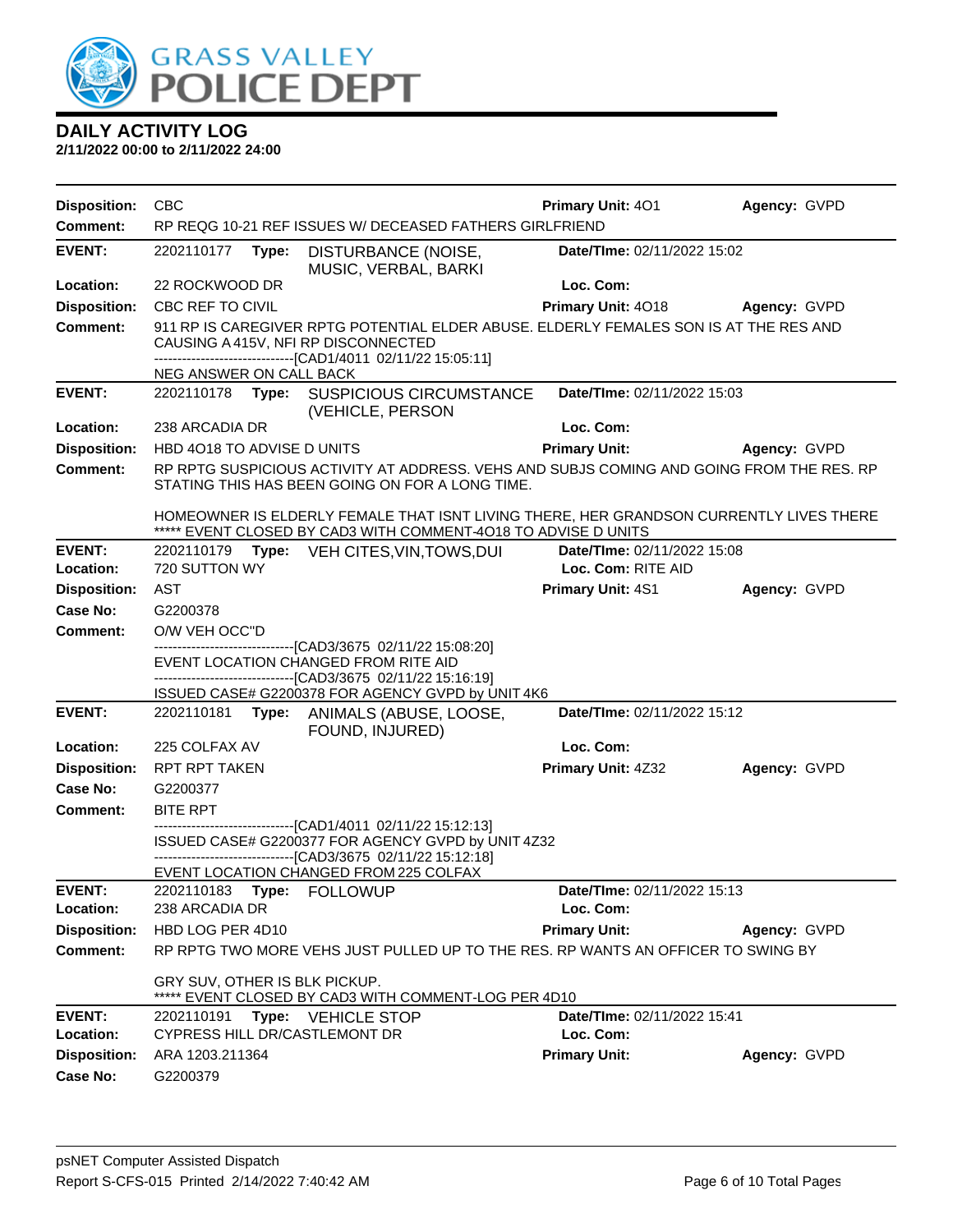

| <b>Disposition:</b>              | <b>CBC</b>                                                                                                                                                                                   | <b>Primary Unit: 401</b>                 | Agency: GVPD |
|----------------------------------|----------------------------------------------------------------------------------------------------------------------------------------------------------------------------------------------|------------------------------------------|--------------|
| Comment:                         | RP REQG 10-21 REF ISSUES W/ DECEASED FATHERS GIRLFRIEND                                                                                                                                      |                                          |              |
| <b>EVENT:</b>                    | 2202110177<br>Type:<br>DISTURBANCE (NOISE,<br>MUSIC, VERBAL, BARKI                                                                                                                           | Date/TIme: 02/11/2022 15:02              |              |
| Location:                        | 22 ROCKWOOD DR                                                                                                                                                                               | Loc. Com:                                |              |
| <b>Disposition:</b>              | CBC REF TO CIVIL                                                                                                                                                                             | Primary Unit: 4018                       | Agency: GVPD |
| <b>Comment:</b>                  | 911 RP IS CAREGIVER RPTG POTENTIAL ELDER ABUSE. ELDERLY FEMALES SON IS AT THE RES AND<br>CAUSING A 415V, NFI RP DISCONNECTED<br>-------------------------------[CAD1/4011 02/11/22 15:05:11] |                                          |              |
|                                  | NEG ANSWER ON CALL BACK                                                                                                                                                                      |                                          |              |
| <b>EVENT:</b>                    | 2202110178 <b>Type:</b><br><b>SUSPICIOUS CIRCUMSTANCE</b><br>(VEHICLE, PERSON                                                                                                                | Date/TIme: 02/11/2022 15:03              |              |
| Location:                        | 238 ARCADIA DR                                                                                                                                                                               | Loc. Com:                                |              |
| <b>Disposition:</b>              | HBD 4018 TO ADVISE D UNITS                                                                                                                                                                   | <b>Primary Unit:</b>                     | Agency: GVPD |
| <b>Comment:</b>                  | RP RPTG SUSPICIOUS ACTIVITY AT ADDRESS. VEHS AND SUBJS COMING AND GOING FROM THE RES. RP<br>STATING THIS HAS BEEN GOING ON FOR A LONG TIME.                                                  |                                          |              |
|                                  | HOMEOWNER IS ELDERLY FEMALE THAT ISNT LIVING THERE, HER GRANDSON CURRENTLY LIVES THERE<br>***** EVENT CLOSED BY CAD3 WITH COMMENT-4018 TO ADVISE D UNITS                                     |                                          |              |
| <b>EVENT:</b>                    | Type: VEH CITES, VIN, TOWS, DUI<br>2202110179                                                                                                                                                | Date/TIme: 02/11/2022 15:08              |              |
| Location:                        | 720 SUTTON WY                                                                                                                                                                                | Loc. Com: RITE AID                       |              |
| <b>Disposition:</b>              | <b>AST</b>                                                                                                                                                                                   | Primary Unit: 4S1                        | Agency: GVPD |
| <b>Case No:</b>                  | G2200378                                                                                                                                                                                     |                                          |              |
| <b>Comment:</b>                  | O/W VEH OCC"D<br>-------------------------------[CAD3/3675 02/11/22 15:08:20]                                                                                                                |                                          |              |
|                                  | EVENT LOCATION CHANGED FROM RITE AID                                                                                                                                                         |                                          |              |
|                                  | -------------------------------[CAD3/3675 02/11/22 15:16:19]<br>ISSUED CASE# G2200378 FOR AGENCY GVPD by UNIT 4K6                                                                            |                                          |              |
| <b>EVENT:</b>                    | 2202110181<br>Type: ANIMALS (ABUSE, LOOSE,<br>FOUND, INJURED)                                                                                                                                | Date/TIme: 02/11/2022 15:12              |              |
| Location:                        | 225 COLFAX AV                                                                                                                                                                                | Loc. Com:                                |              |
| <b>Disposition:</b>              | RPT RPT TAKEN                                                                                                                                                                                | Primary Unit: 4Z32                       | Agency: GVPD |
| <b>Case No:</b>                  | G2200377                                                                                                                                                                                     |                                          |              |
| <b>Comment:</b>                  | <b>BITE RPT</b>                                                                                                                                                                              |                                          |              |
|                                  | -------------------------------[CAD1/4011 02/11/22 15:12:13]<br>ISSUED CASE# G2200377 FOR AGENCY GVPD by UNIT 4Z32<br>-------------------------------[CAD3/3675 02/11/22 15:12:18]           |                                          |              |
|                                  | EVENT LOCATION CHANGED FROM 225 COLFAX                                                                                                                                                       |                                          |              |
| <b>EVENT:</b>                    |                                                                                                                                                                                              | Date/TIme: 02/11/2022 15:13              |              |
| Location:<br><b>Disposition:</b> | 238 ARCADIA DR<br>HBD LOG PER 4D10                                                                                                                                                           | Loc. Com:<br><b>Primary Unit:</b>        |              |
| <b>Comment:</b>                  | RP RPTG TWO MORE VEHS JUST PULLED UP TO THE RES. RP WANTS AN OFFICER TO SWING BY                                                                                                             |                                          | Agency: GVPD |
|                                  | GRY SUV, OTHER IS BLK PICKUP.<br>***** EVENT CLOSED BY CAD3 WITH COMMENT-LOG PER 4D10                                                                                                        |                                          |              |
| <b>EVENT:</b><br>Location:       | Type: VEHICLE STOP<br>2202110191<br>CYPRESS HILL DR/CASTLEMONT DR                                                                                                                            | Date/TIme: 02/11/2022 15:41<br>Loc. Com: |              |
| <b>Disposition:</b>              | ARA 1203.211364                                                                                                                                                                              | <b>Primary Unit:</b>                     | Agency: GVPD |
| <b>Case No:</b>                  | G2200379                                                                                                                                                                                     |                                          |              |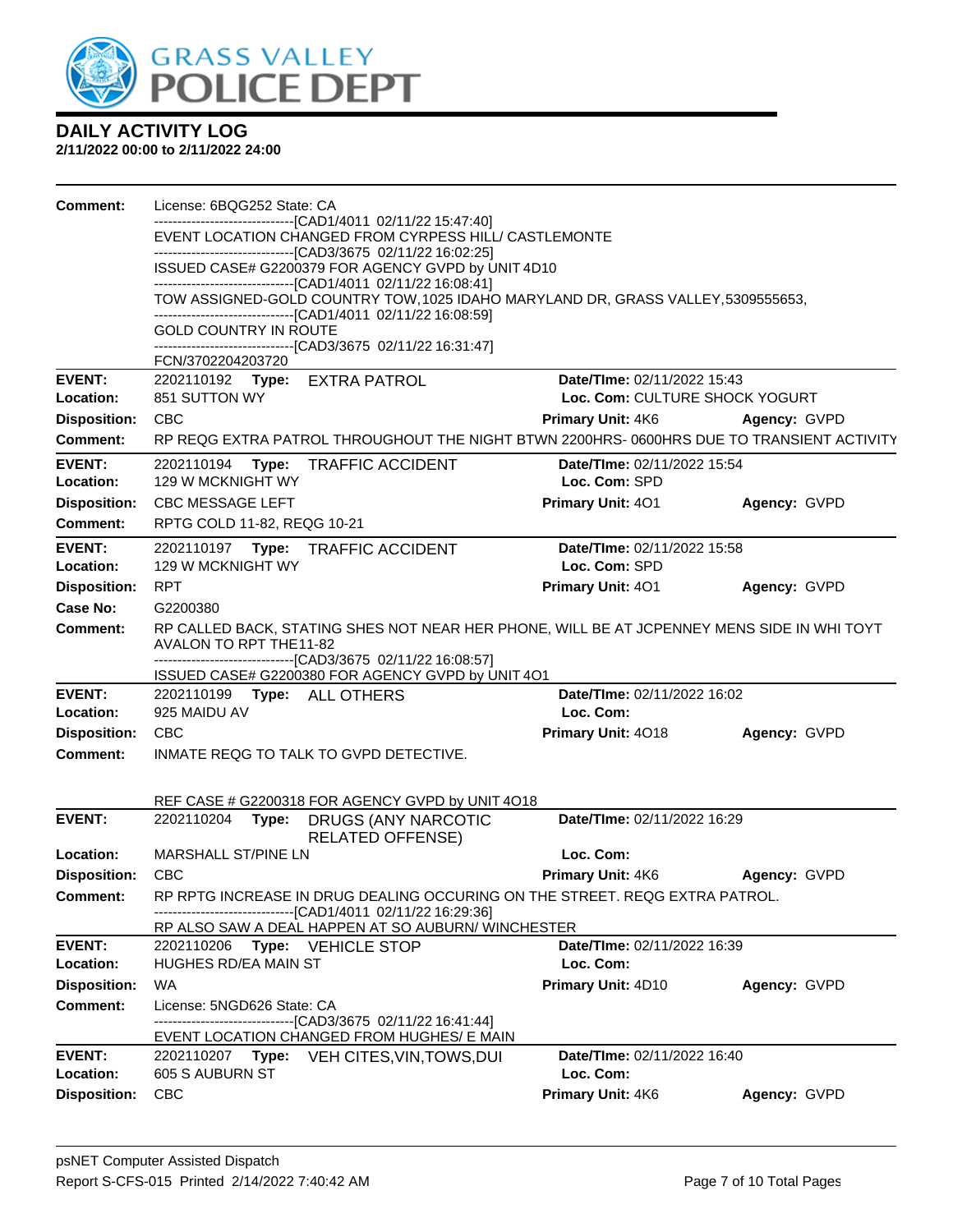

| Comment:                         | License: 6BQG252 State: CA                                                                                                                       |                                              |              |
|----------------------------------|--------------------------------------------------------------------------------------------------------------------------------------------------|----------------------------------------------|--------------|
|                                  | -----------------------[CAD1/4011_02/11/22 15:47:40]<br>EVENT LOCATION CHANGED FROM CYRPESS HILL/ CASTLEMONTE                                    |                                              |              |
|                                  | -------------------------------[CAD3/3675 02/11/22 16:02:25]                                                                                     |                                              |              |
|                                  | ISSUED CASE# G2200379 FOR AGENCY GVPD by UNIT 4D10                                                                                               |                                              |              |
|                                  | -------------------------------[CAD1/4011 02/11/22 16:08:41]<br>TOW ASSIGNED-GOLD COUNTRY TOW, 1025 IDAHO MARYLAND DR, GRASS VALLEY, 5309555653, |                                              |              |
|                                  | -------------------------------[CAD1/4011_02/11/22 16:08:59]                                                                                     |                                              |              |
|                                  | <b>GOLD COUNTRY IN ROUTE</b><br>-------------------------------[CAD3/3675 02/11/22 16:31:47]                                                     |                                              |              |
|                                  | FCN/3702204203720                                                                                                                                |                                              |              |
| <b>EVENT:</b>                    | 2202110192 Type: EXTRA PATROL                                                                                                                    | Date/TIme: 02/11/2022 15:43                  |              |
| Location:                        | 851 SUTTON WY                                                                                                                                    | Loc. Com: CULTURE SHOCK YOGURT               |              |
| <b>Disposition:</b>              | <b>CBC</b>                                                                                                                                       | <b>Primary Unit: 4K6</b>                     | Agency: GVPD |
| <b>Comment:</b>                  | RP REQG EXTRA PATROL THROUGHOUT THE NIGHT BTWN 2200HRS-0600HRS DUE TO TRANSIENT ACTIVITY                                                         |                                              |              |
| <b>EVENT:</b>                    | 2202110194 Type:<br><b>TRAFFIC ACCIDENT</b>                                                                                                      | Date/TIme: 02/11/2022 15:54                  |              |
| Location:                        | 129 W MCKNIGHT WY                                                                                                                                | Loc. Com: SPD                                |              |
| <b>Disposition:</b>              | <b>CBC MESSAGE LEFT</b>                                                                                                                          | Primary Unit: 401                            | Agency: GVPD |
| Comment:                         | RPTG COLD 11-82, REQG 10-21                                                                                                                      |                                              |              |
| <b>EVENT:</b>                    | 2202110197 Type:<br><b>TRAFFIC ACCIDENT</b>                                                                                                      | Date/TIme: 02/11/2022 15:58<br>Loc. Com: SPD |              |
| Location:<br><b>Disposition:</b> | 129 W MCKNIGHT WY<br><b>RPT</b>                                                                                                                  |                                              |              |
| Case No:                         | G2200380                                                                                                                                         | Primary Unit: 401                            | Agency: GVPD |
| <b>Comment:</b>                  | RP CALLED BACK, STATING SHES NOT NEAR HER PHONE, WILL BE AT JCPENNEY MENS SIDE IN WHI TOYT                                                       |                                              |              |
|                                  | AVALON TO RPT THE11-82                                                                                                                           |                                              |              |
|                                  | -------------------------------[CAD3/3675 02/11/22 16:08:57]                                                                                     |                                              |              |
| <b>EVENT:</b>                    | ISSUED CASE# G2200380 FOR AGENCY GVPD by UNIT 401<br>2202110199    Type: ALL OTHERS                                                              | Date/TIme: 02/11/2022 16:02                  |              |
| Location:                        | 925 MAIDU AV                                                                                                                                     | Loc. Com:                                    |              |
| <b>Disposition:</b>              | <b>CBC</b>                                                                                                                                       | Primary Unit: 4018                           | Agency: GVPD |
| <b>Comment:</b>                  | INMATE REQG TO TALK TO GVPD DETECTIVE.                                                                                                           |                                              |              |
|                                  |                                                                                                                                                  |                                              |              |
|                                  | REF CASE # G2200318 FOR AGENCY GVPD by UNIT 4018                                                                                                 |                                              |              |
| <b>EVENT:</b>                    | 2202110204<br>Type:<br>DRUGS (ANY NARCOTIC                                                                                                       | Date/TIme: 02/11/2022 16:29                  |              |
|                                  | <b>RELATED OFFENSE)</b>                                                                                                                          |                                              |              |
|                                  |                                                                                                                                                  |                                              |              |
| Location:                        | <b>MARSHALL ST/PINE LN</b>                                                                                                                       | Loc. Com:                                    |              |
| <b>Disposition:</b>              | <b>CBC</b>                                                                                                                                       | Primary Unit: 4K6                            | Agency: GVPD |
| <b>Comment:</b>                  | RP RPTG INCREASE IN DRUG DEALING OCCURING ON THE STREET. REQG EXTRA PATROL.<br>--[CAD1/4011 02/11/22 16:29:36]<br>----------------------         |                                              |              |
|                                  | RP ALSO SAW A DEAL HAPPEN AT SO AUBURN/ WINCHESTER                                                                                               |                                              |              |
| <b>EVENT:</b>                    | 2202110206<br>Type: VEHICLE STOP                                                                                                                 | Date/TIme: 02/11/2022 16:39                  |              |
| Location:                        | HUGHES RD/EA MAIN ST                                                                                                                             | Loc. Com:                                    |              |
| <b>Disposition:</b>              | <b>WA</b>                                                                                                                                        | Primary Unit: 4D10                           | Agency: GVPD |
| Comment:                         | License: 5NGD626 State: CA                                                                                                                       |                                              |              |
|                                  | -------------------------------[CAD3/3675 02/11/22 16:41:44]<br>EVENT LOCATION CHANGED FROM HUGHES/ E MAIN                                       |                                              |              |
| <b>EVENT:</b>                    | 2202110207 Type: VEH CITES, VIN, TOWS, DUI                                                                                                       | Date/TIme: 02/11/2022 16:40                  |              |
| Location:<br><b>Disposition:</b> | 605 S AUBURN ST<br><b>CBC</b>                                                                                                                    | Loc. Com:<br><b>Primary Unit: 4K6</b>        | Agency: GVPD |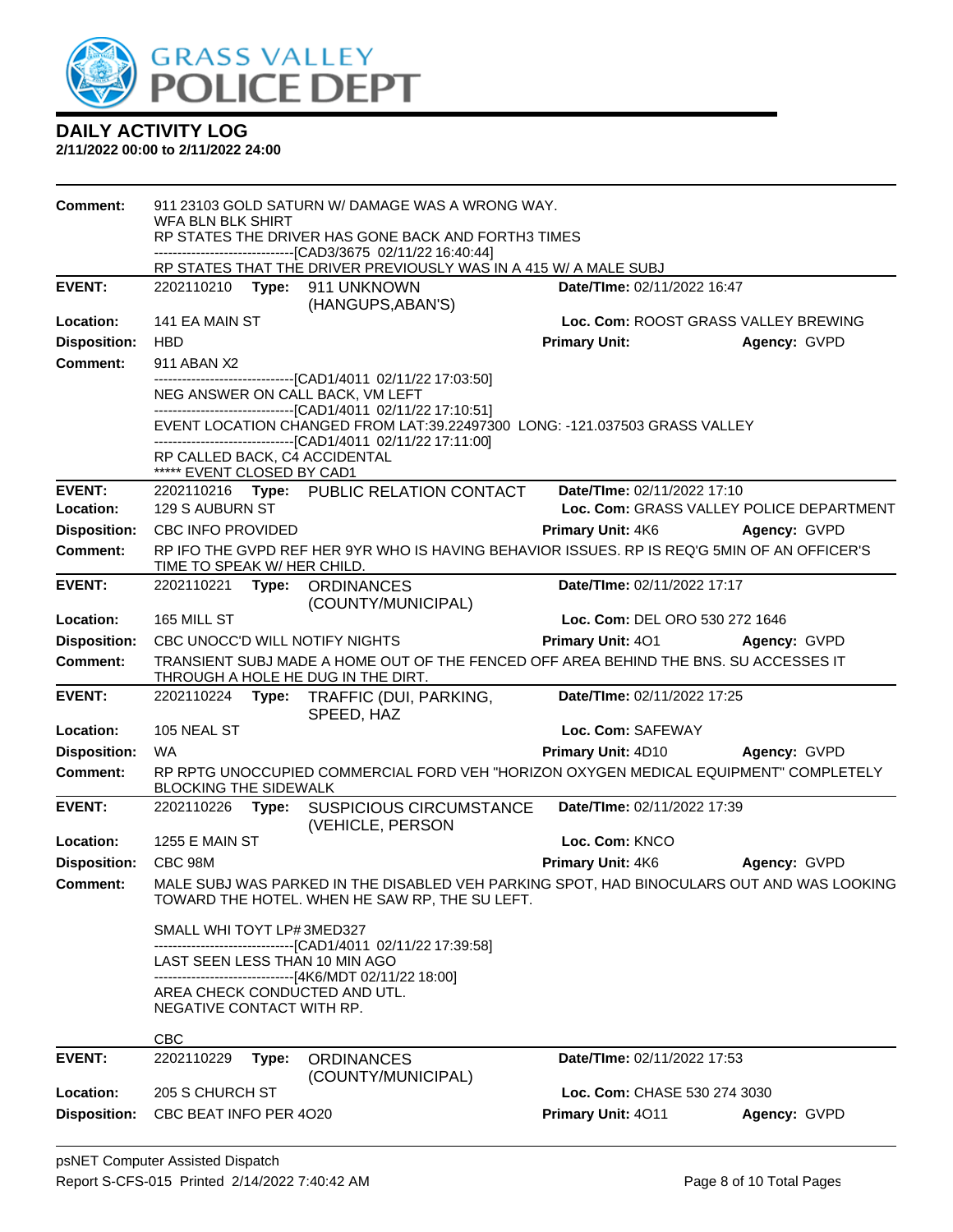

| Comment:                               | WFA BLN BLK SHIRT            |       | 911 23103 GOLD SATURN W/ DAMAGE WAS A WRONG WAY.<br>RP STATES THE DRIVER HAS GONE BACK AND FORTH3 TIMES<br>------------------------------[CAD3/3675 02/11/22 16:40:44]<br>RP STATES THAT THE DRIVER PREVIOUSLY WAS IN A 415 W/ A MALE SUBJ |                                                                                                                         |                                          |
|----------------------------------------|------------------------------|-------|--------------------------------------------------------------------------------------------------------------------------------------------------------------------------------------------------------------------------------------------|-------------------------------------------------------------------------------------------------------------------------|------------------------------------------|
| <b>EVENT:</b>                          | 2202110210                   | Type: | 911 UNKNOWN                                                                                                                                                                                                                                | Date/TIme: 02/11/2022 16:47                                                                                             |                                          |
| Location:                              | 141 EA MAIN ST               |       | (HANGUPS, ABAN'S)                                                                                                                                                                                                                          | Loc. Com: ROOST GRASS VALLEY BREWING                                                                                    |                                          |
| <b>Disposition:</b>                    | <b>HBD</b>                   |       |                                                                                                                                                                                                                                            | <b>Primary Unit:</b>                                                                                                    | Agency: GVPD                             |
| <b>Comment:</b>                        | 911 ABAN X2                  |       |                                                                                                                                                                                                                                            |                                                                                                                         |                                          |
|                                        |                              |       | -------------------------[CAD1/4011_02/11/22 17:03:50]<br>NEG ANSWER ON CALL BACK, VM LEFT                                                                                                                                                 |                                                                                                                         |                                          |
|                                        |                              |       | -------------------------------[CAD1/4011_02/11/22 17:10:51]<br>-------------------------------[CAD1/4011_02/11/22 17:11:00]                                                                                                               | EVENT LOCATION CHANGED FROM LAT:39.22497300 LONG: -121.037503 GRASS VALLEY                                              |                                          |
|                                        | ***** EVENT CLOSED BY CAD1   |       | RP CALLED BACK, C4 ACCIDENTAL                                                                                                                                                                                                              |                                                                                                                         |                                          |
| <b>EVENT:</b>                          |                              |       | 2202110216 Type: PUBLIC RELATION CONTACT                                                                                                                                                                                                   | Date/TIme: 02/11/2022 17:10                                                                                             |                                          |
| Location:                              | 129 S AUBURN ST              |       |                                                                                                                                                                                                                                            |                                                                                                                         | Loc. Com: GRASS VALLEY POLICE DEPARTMENT |
| <b>Disposition:</b><br><b>Comment:</b> | CBC INFO PROVIDED            |       |                                                                                                                                                                                                                                            | <b>Primary Unit: 4K6</b><br>RP IFO THE GVPD REF HER 9YR WHO IS HAVING BEHAVIOR ISSUES. RP IS REQ'G 5MIN OF AN OFFICER'S | Agency: GVPD                             |
|                                        | TIME TO SPEAK W/ HER CHILD.  |       |                                                                                                                                                                                                                                            |                                                                                                                         |                                          |
| <b>EVENT:</b>                          | 2202110221                   |       | Type: ORDINANCES<br>(COUNTY/MUNICIPAL)                                                                                                                                                                                                     | Date/TIme: 02/11/2022 17:17                                                                                             |                                          |
| Location:                              | 165 MILL ST                  |       |                                                                                                                                                                                                                                            | Loc. Com: DEL ORO 530 272 1646                                                                                          |                                          |
| <b>Disposition:</b>                    |                              |       | CBC UNOCC'D WILL NOTIFY NIGHTS                                                                                                                                                                                                             | <b>Primary Unit: 401</b>                                                                                                | Agency: GVPD                             |
| <b>Comment:</b>                        |                              |       | THROUGH A HOLE HE DUG IN THE DIRT.                                                                                                                                                                                                         | TRANSIENT SUBJ MADE A HOME OUT OF THE FENCED OFF AREA BEHIND THE BNS. SU ACCESSES IT                                    |                                          |
| <b>EVENT:</b>                          |                              |       | 2202110224 Type: TRAFFIC (DUI, PARKING,<br>SPEED, HAZ                                                                                                                                                                                      | Date/TIme: 02/11/2022 17:25                                                                                             |                                          |
| Location:                              | 105 NEAL ST                  |       |                                                                                                                                                                                                                                            | Loc. Com: SAFEWAY                                                                                                       |                                          |
| <b>Disposition:</b>                    | <b>WA</b>                    |       |                                                                                                                                                                                                                                            | Primary Unit: 4D10                                                                                                      | Agency: GVPD                             |
| <b>Comment:</b>                        | <b>BLOCKING THE SIDEWALK</b> |       |                                                                                                                                                                                                                                            | RP RPTG UNOCCUPIED COMMERCIAL FORD VEH "HORIZON OXYGEN MEDICAL EQUIPMENT" COMPLETELY                                    |                                          |
| <b>EVENT:</b>                          | 2202110226                   |       | Type: SUSPICIOUS CIRCUMSTANCE<br>(VEHICLE, PERSON                                                                                                                                                                                          | Date/TIme: 02/11/2022 17:39                                                                                             |                                          |
| Location:                              | 1255 E MAIN ST               |       |                                                                                                                                                                                                                                            | Loc. Com: KNCO                                                                                                          |                                          |
| <b>Disposition:</b>                    | CBC 98M                      |       |                                                                                                                                                                                                                                            | <b>Primary Unit: 4K6</b>                                                                                                | Agency: GVPD                             |
| Comment:                               |                              |       | TOWARD THE HOTEL. WHEN HE SAW RP, THE SU LEFT.                                                                                                                                                                                             | MALE SUBJ WAS PARKED IN THE DISABLED VEH PARKING SPOT, HAD BINOCULARS OUT AND WAS LOOKING                               |                                          |
|                                        | SMALL WHI TOYT LP#3MED327    |       | -------------------------------[CAD1/4011 02/11/22 17:39:58]                                                                                                                                                                               |                                                                                                                         |                                          |
|                                        |                              |       | LAST SEEN LESS THAN 10 MIN AGO                                                                                                                                                                                                             |                                                                                                                         |                                          |
|                                        |                              |       | -------------------------------[4K6/MDT 02/11/22 18:00]<br>AREA CHECK CONDUCTED AND UTL.                                                                                                                                                   |                                                                                                                         |                                          |
|                                        | NEGATIVE CONTACT WITH RP.    |       |                                                                                                                                                                                                                                            |                                                                                                                         |                                          |
|                                        | CBC                          |       |                                                                                                                                                                                                                                            |                                                                                                                         |                                          |
| <b>EVENT:</b>                          | 2202110229                   | Type: | <b>ORDINANCES</b>                                                                                                                                                                                                                          | Date/TIme: 02/11/2022 17:53                                                                                             |                                          |
| Location:                              | 205 S CHURCH ST              |       | (COUNTY/MUNICIPAL)                                                                                                                                                                                                                         | Loc. Com: CHASE 530 274 3030                                                                                            |                                          |
| <b>Disposition:</b>                    | CBC BEAT INFO PER 4020       |       |                                                                                                                                                                                                                                            | Primary Unit: 4011                                                                                                      | Agency: GVPD                             |
|                                        |                              |       |                                                                                                                                                                                                                                            |                                                                                                                         |                                          |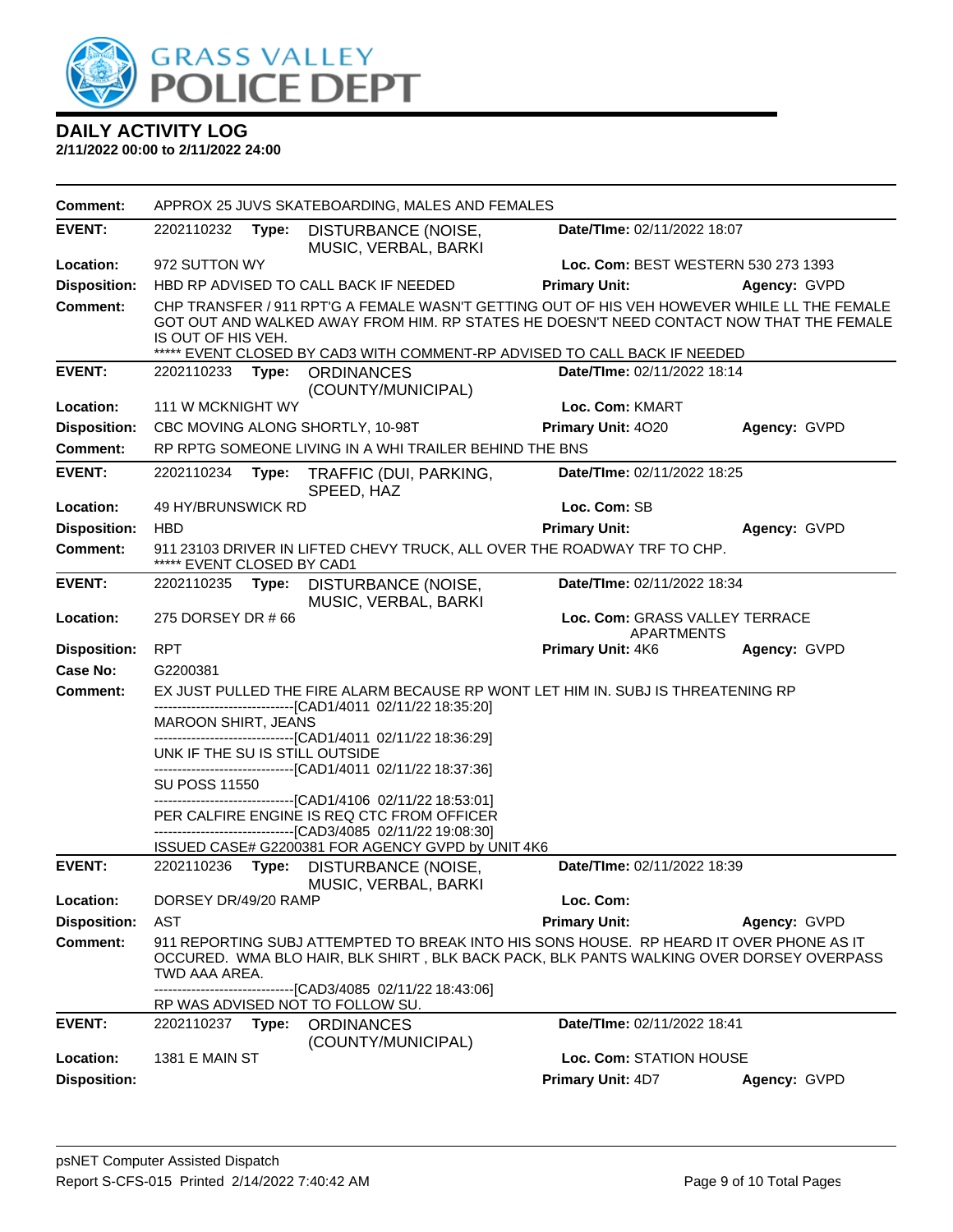

| <b>Comment:</b>     |                                |       | APPROX 25 JUVS SKATEBOARDING, MALES AND FEMALES                                                                                                                                                                                                                     |                                                     |              |
|---------------------|--------------------------------|-------|---------------------------------------------------------------------------------------------------------------------------------------------------------------------------------------------------------------------------------------------------------------------|-----------------------------------------------------|--------------|
| <b>EVENT:</b>       | 2202110232                     | Type: | DISTURBANCE (NOISE,<br>MUSIC, VERBAL, BARKI                                                                                                                                                                                                                         | Date/TIme: 02/11/2022 18:07                         |              |
| Location:           | 972 SUTTON WY                  |       |                                                                                                                                                                                                                                                                     | Loc. Com: BEST WESTERN 530 273 1393                 |              |
| <b>Disposition:</b> |                                |       | HBD RP ADVISED TO CALL BACK IF NEEDED                                                                                                                                                                                                                               | <b>Primary Unit:</b>                                | Agency: GVPD |
| <b>Comment:</b>     | IS OUT OF HIS VEH.             |       | CHP TRANSFER / 911 RPT'G A FEMALE WASN'T GETTING OUT OF HIS VEH HOWEVER WHILE LL THE FEMALE<br>GOT OUT AND WALKED AWAY FROM HIM. RP STATES HE DOESN'T NEED CONTACT NOW THAT THE FEMALE<br>***** EVENT CLOSED BY CAD3 WITH COMMENT-RP ADVISED TO CALL BACK IF NEEDED |                                                     |              |
| <b>EVENT:</b>       | 2202110233                     | Type: | <b>ORDINANCES</b>                                                                                                                                                                                                                                                   | Date/TIme: 02/11/2022 18:14                         |              |
|                     |                                |       | (COUNTY/MUNICIPAL)                                                                                                                                                                                                                                                  |                                                     |              |
| Location:           | 111 W MCKNIGHT WY              |       |                                                                                                                                                                                                                                                                     | Loc. Com: KMART                                     |              |
| <b>Disposition:</b> |                                |       | CBC MOVING ALONG SHORTLY, 10-98T                                                                                                                                                                                                                                    | Primary Unit: 4020                                  | Agency: GVPD |
| <b>Comment:</b>     |                                |       | RP RPTG SOMEONE LIVING IN A WHI TRAILER BEHIND THE BNS                                                                                                                                                                                                              |                                                     |              |
| <b>EVENT:</b>       | 2202110234                     | Type: | TRAFFIC (DUI, PARKING,<br>SPEED, HAZ                                                                                                                                                                                                                                | Date/TIme: 02/11/2022 18:25                         |              |
| Location:           | 49 HY/BRUNSWICK RD             |       |                                                                                                                                                                                                                                                                     | Loc. Com: SB                                        |              |
| <b>Disposition:</b> | <b>HBD</b>                     |       |                                                                                                                                                                                                                                                                     | <b>Primary Unit:</b>                                | Agency: GVPD |
| <b>Comment:</b>     | ***** EVENT CLOSED BY CAD1     |       | 911 23103 DRIVER IN LIFTED CHEVY TRUCK, ALL OVER THE ROADWAY TRF TO CHP.                                                                                                                                                                                            |                                                     |              |
| <b>EVENT:</b>       | 2202110235                     | Type: | DISTURBANCE (NOISE,<br>MUSIC, VERBAL, BARKI                                                                                                                                                                                                                         | Date/TIme: 02/11/2022 18:34                         |              |
| Location:           | 275 DORSEY DR #66              |       |                                                                                                                                                                                                                                                                     | Loc. Com: GRASS VALLEY TERRACE<br><b>APARTMENTS</b> |              |
| <b>Disposition:</b> | <b>RPT</b>                     |       |                                                                                                                                                                                                                                                                     | <b>Primary Unit: 4K6</b>                            | Agency: GVPD |
| Case No:            | G2200381                       |       |                                                                                                                                                                                                                                                                     |                                                     |              |
| <b>Comment:</b>     |                                |       | EX JUST PULLED THE FIRE ALARM BECAUSE RP WONT LET HIM IN. SUBJ IS THREATENING RP                                                                                                                                                                                    |                                                     |              |
|                     | MAROON SHIRT, JEANS            |       | -------------------------------[CAD1/4011 02/11/22 18:35:20]                                                                                                                                                                                                        |                                                     |              |
|                     |                                |       | -------------------------------[CAD1/4011 02/11/22 18:36:29]                                                                                                                                                                                                        |                                                     |              |
|                     | UNK IF THE SU IS STILL OUTSIDE |       | ------------------------[CAD1/4011_02/11/22 18:37:36]                                                                                                                                                                                                               |                                                     |              |
|                     | <b>SU POSS 11550</b>           |       |                                                                                                                                                                                                                                                                     |                                                     |              |
|                     |                                |       | ------------------------[CAD1/4106_02/11/22 18:53:01]                                                                                                                                                                                                               |                                                     |              |
|                     |                                |       | PER CALFIRE ENGINE IS REQ CTC FROM OFFICER<br>-------------------------------[CAD3/4085 02/11/22 19:08:30]                                                                                                                                                          |                                                     |              |
|                     |                                |       | ISSUED CASE# G2200381 FOR AGENCY GVPD by UNIT 4K6                                                                                                                                                                                                                   |                                                     |              |
| <b>EVENT:</b>       | 2202110236                     | Type: | DISTURBANCE (NOISE,<br>MUSIC, VERBAL, BARKI                                                                                                                                                                                                                         | Date/TIme: 02/11/2022 18:39                         |              |
| Location:           | DORSEY DR/49/20 RAMP           |       |                                                                                                                                                                                                                                                                     | Loc. Com:                                           |              |
| <b>Disposition:</b> | <b>AST</b>                     |       |                                                                                                                                                                                                                                                                     | <b>Primary Unit:</b>                                | Agency: GVPD |
| <b>Comment:</b>     | TWD AAA AREA.                  |       | 911 REPORTING SUBJ ATTEMPTED TO BREAK INTO HIS SONS HOUSE. RP HEARD IT OVER PHONE AS IT<br>OCCURED. WMA BLO HAIR, BLK SHIRT, BLK BACK PACK, BLK PANTS WALKING OVER DORSEY OVERPASS<br>--------------------------[CAD3/4085 02/11/22 18:43:06]                       |                                                     |              |
|                     |                                |       | RP WAS ADVISED NOT TO FOLLOW SU.                                                                                                                                                                                                                                    |                                                     |              |
| <b>EVENT:</b>       | 2202110237                     | Type: | <b>ORDINANCES</b><br>(COUNTY/MUNICIPAL)                                                                                                                                                                                                                             | Date/TIme: 02/11/2022 18:41                         |              |
| Location:           | <b>1381 E MAIN ST</b>          |       |                                                                                                                                                                                                                                                                     | Loc. Com: STATION HOUSE                             |              |
| <b>Disposition:</b> |                                |       |                                                                                                                                                                                                                                                                     | Primary Unit: 4D7                                   | Agency: GVPD |